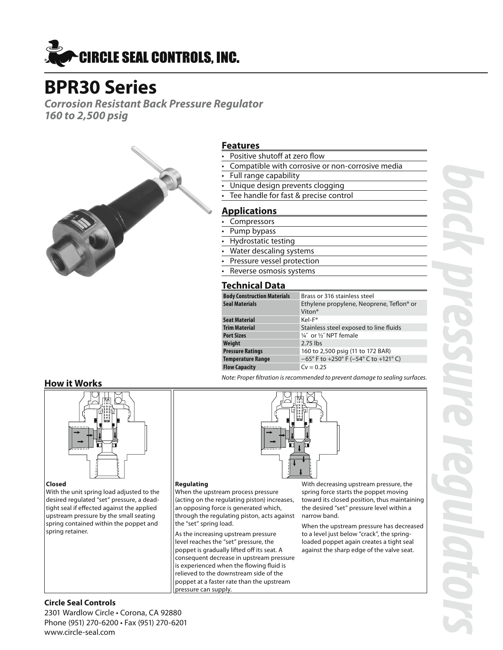

# **BPR30 Series**

*Corrosion Resistant Back Pressure Regulator 160 to 2,500 psig*



### **Features**

- Positive shutoff at zero flow
- Compatible with corrosive or non-corrosive media
- Full range capability
- Unique design prevents clogging
- Tee handle for fast & precise control

### **Applications**

- **Compressors**
- Pump bypass
- Hydrostatic testing
- Water descaling systems
- Pressure vessel protection
- Reverse osmosis systems

# **Technical Data**

| <b>Body Construction Materials</b> | Brass or 316 stainless steel                                               |
|------------------------------------|----------------------------------------------------------------------------|
| <b>Seal Materials</b>              | Ethylene propylene, Neoprene, Teflon <sup>®</sup> or<br>Viton <sup>®</sup> |
| <b>Seat Material</b>               | Kel-F <sup>®</sup>                                                         |
| <b>Trim Material</b>               | Stainless steel exposed to line fluids                                     |
| <b>Port Sizes</b>                  | 1/4" or 1/2" NPT female                                                    |
| Weight                             | $2.75$ lbs                                                                 |
| <b>Pressure Ratings</b>            | 160 to 2,500 psig (11 to 172 BAR)                                          |
| <b>Temperature Range</b>           | $-65^{\circ}$ F to +250° F (-54° C to +121° C)                             |
| <b>Flow Capacity</b>               | $Cv = 0.25$                                                                |

*Note: Proper filtration is recommended to prevent damage to sealing surfaces.*

# **How it Works**



#### **Closed**

With the unit spring load adjusted to the desired regulated "set" pressure, a deadtight seal if effected against the applied upstream pressure by the small seating spring contained within the poppet and spring retainer.

#### **Regulating**

When the upstream process pressure (acting on the regulating piston) increases, an opposing force is generated which, through the regulating piston, acts against the "set" spring load.

As the increasing upstream pressure level reaches the "set" pressure, the poppet is gradually lifted off its seat. A consequent decrease in upstream pressure is experienced when the flowing fluid is relieved to the downstream side of the poppet at a faster rate than the upstream pressure can supply.

With decreasing upstream pressure, the spring force starts the poppet moving toward its closed position, thus maintaining the desired "set" pressure level within a narrow band.

When the upstream pressure has decreased to a level just below "crack", the springloaded poppet again creates a tight seal against the sharp edge of the valve seat.

# **Circle Seal Controls**

2301 Wardlow Circle • Corona, CA 92880 Phone (951) 270-6200 • Fax (951) 270-6201 www.circle-seal.com